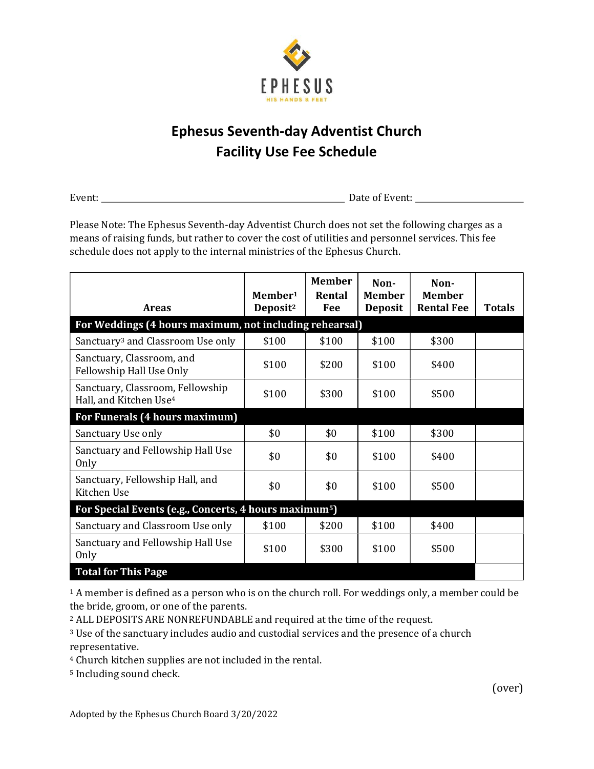

## Ephesus Seventh-day Adventist Church Facility Use Fee Schedule

Event: Date of Event:

Please Note: The Ephesus Seventh-day Adventist Church does not set the following charges as a means of raising funds, but rather to cover the cost of utilities and personnel services. This fee schedule does not apply to the internal ministries of the Ephesus Church.

|                                                                        | Member <sup>1</sup>  | <b>Member</b><br>Rental | Non-<br><b>Member</b> | Non-<br><b>Member</b> |               |  |  |
|------------------------------------------------------------------------|----------------------|-------------------------|-----------------------|-----------------------|---------------|--|--|
| <b>Areas</b>                                                           | Deposit <sup>2</sup> | Fee                     | <b>Deposit</b>        | <b>Rental Fee</b>     | <b>Totals</b> |  |  |
| For Weddings (4 hours maximum, not including rehearsal)                |                      |                         |                       |                       |               |  |  |
| Sanctuary <sup>3</sup> and Classroom Use only                          | \$100                | \$100                   | \$100                 | \$300                 |               |  |  |
| Sanctuary, Classroom, and<br>Fellowship Hall Use Only                  | \$100                | \$200                   | \$100                 | \$400                 |               |  |  |
| Sanctuary, Classroom, Fellowship<br>Hall, and Kitchen Use <sup>4</sup> | \$100                | \$300                   | \$100                 | \$500                 |               |  |  |
| For Funerals (4 hours maximum)                                         |                      |                         |                       |                       |               |  |  |
| Sanctuary Use only                                                     | \$0                  | \$0                     | \$100                 | \$300                 |               |  |  |
| Sanctuary and Fellowship Hall Use<br>Only                              | \$0                  | \$0                     | \$100                 | \$400                 |               |  |  |
| Sanctuary, Fellowship Hall, and<br>Kitchen Use                         | \$0                  | \$0                     | \$100                 | \$500                 |               |  |  |
| For Special Events (e.g., Concerts, 4 hours maximum <sup>5</sup> )     |                      |                         |                       |                       |               |  |  |
| Sanctuary and Classroom Use only                                       | \$100                | \$200                   | \$100                 | \$400                 |               |  |  |
| Sanctuary and Fellowship Hall Use<br>Only                              | \$100                | \$300                   | \$100                 | \$500                 |               |  |  |
| <b>Total for This Page</b>                                             |                      |                         |                       |                       |               |  |  |

<sup>1</sup> A member is defined as a person who is on the church roll. For weddings only, a member could be the bride, groom, or one of the parents.

<sup>2</sup> ALL DEPOSITS ARE NONREFUNDABLE and required at the time of the request.

<sup>3</sup> Use of the sanctuary includes audio and custodial services and the presence of a church representative.

<sup>4</sup> Church kitchen supplies are not included in the rental.

<sup>5</sup> Including sound check.

(over)